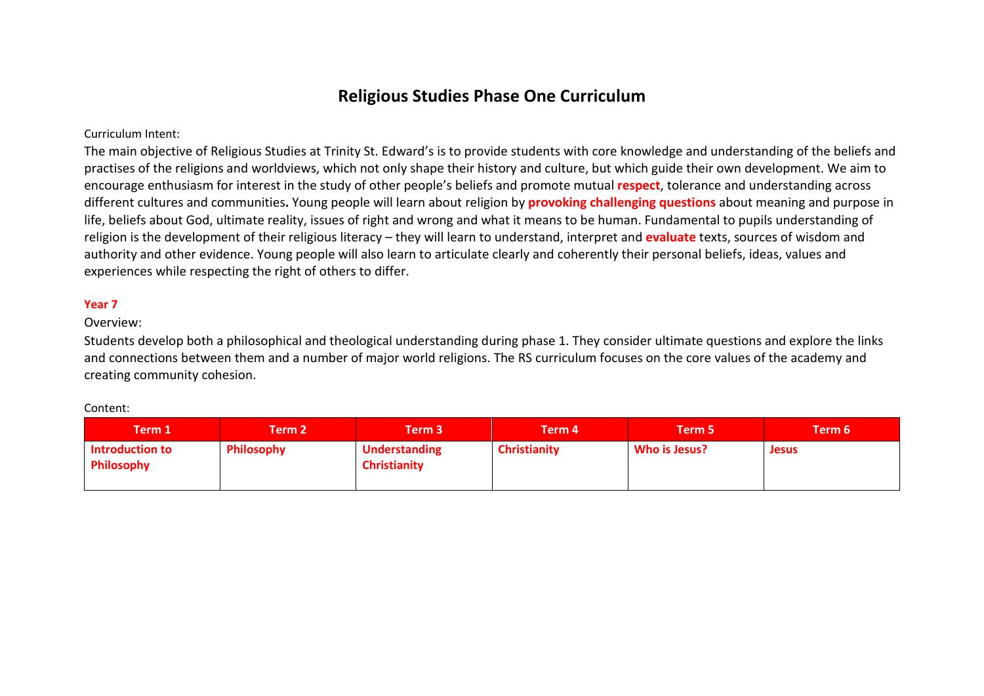# **Religious Studies Phase One Curriculum**

## Curriculum Intent:

The main objective of Religious Studies at Trinity St. Edward's is to provide students with core knowledge and understanding of the beliefs and practises of the religions and worldviews, which not only shape their history and culture, but which guide their own development. We aim to encourage enthusiasm for interest in the study of other people's beliefs and promote mutual **respect**, tolerance and understanding across different cultures and communities**.** Young people will learn about religion by **provoking challenging questions** about meaning and purpose in life, beliefs about God, ultimate reality, issues of right and wrong and what it means to be human. Fundamental to pupils understanding of religion is the development of their religious literacy – they will learn to understand, interpret and **evaluate** texts, sources of wisdom and authority and other evidence. Young people will also learn to articulate clearly and coherently their personal beliefs, ideas, values and experiences while respecting the right of others to differ.

### **Year 7**

#### Overview:

Students develop both a philosophical and theological understanding during phase 1. They consider ultimate questions and explore the links and connections between them and a number of major world religions. The RS curriculum focuses on the core values of the academy and creating community cohesion.

#### Content:

| Term 1'                                     | Term 2            | Term 3'                                     | Term 4              | Term 5        | Term 6       |
|---------------------------------------------|-------------------|---------------------------------------------|---------------------|---------------|--------------|
| <b>Introduction to</b><br><b>Philosophy</b> | <b>Philosophy</b> | <b>Understanding</b><br><b>Christianity</b> | <b>Christianity</b> | Who is Jesus? | <b>Jesus</b> |